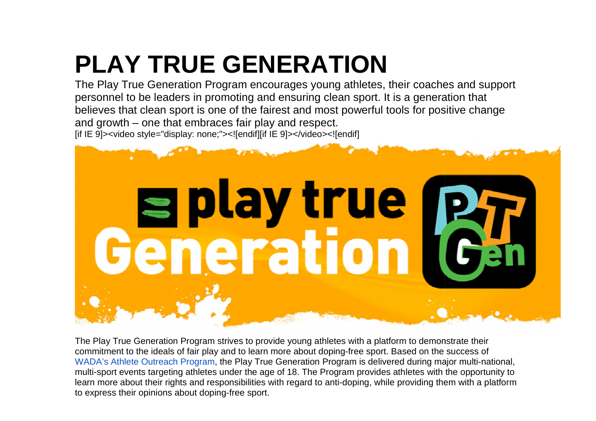## **PLAY TRUE GENERATIONGENERATION**

The Play True Generation Program encourages young athletes, their coaches and support personnel to be leaders in promoting and ensuring clean sport. It is a generation that personnel to be leaders in promoting and ensuring clean sport. It is a generation that<br>believes that clean sport is one of the fairest and most powerful tools for positive change and growth – one that embraces fair play and respect.[if IE 9]><video style="display: none;"><![endif][if IE 9]></video><![endif]



The Play True Generation Program strives to provide young athletes with a platform to demonstrate their commitment to the ideals of fair play and to learn more about doping-free sport. Based on the success of WADA's Athlete Outreach Program, the Play True Generation Program is delivered during major multi-na multi-sport events targeting athletes under the age of 18. The Program provides athletes with the opportunity to multi-sport events targeting athletes under the age of 18. The Program provides athletes with the opportunity to<br>learn more about their rights and responsibilities with regard to anti-doping, while providing them with a pl to express their opinions about doping-free sport.